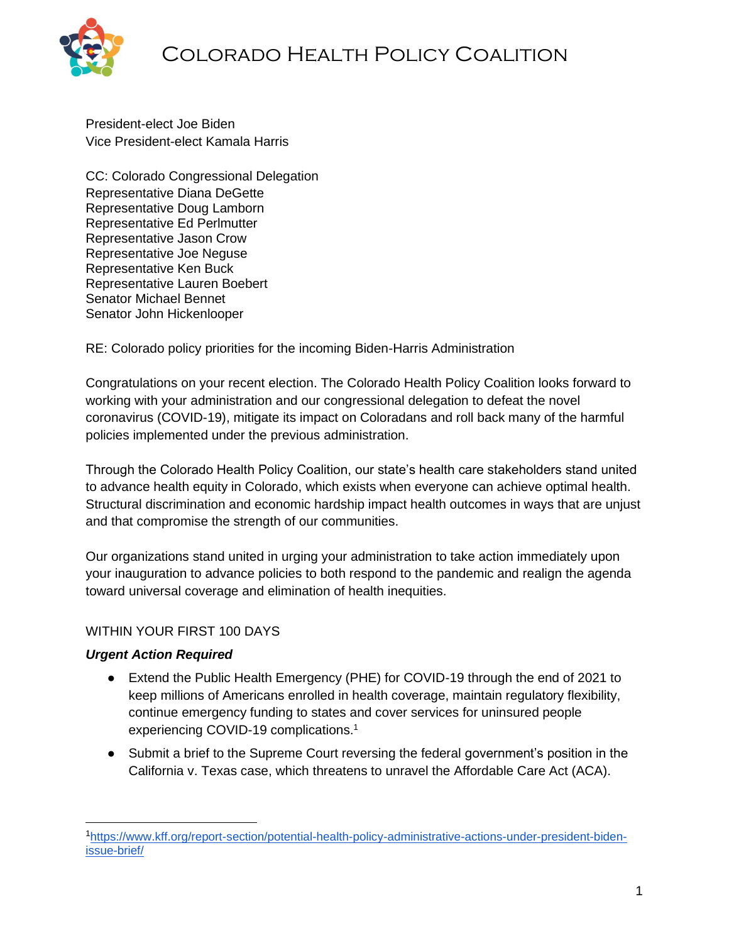

President-elect Joe Biden Vice President-elect Kamala Harris

CC: Colorado Congressional Delegation Representative Diana DeGette Representative Doug Lamborn Representative Ed Perlmutter Representative Jason Crow Representative Joe Neguse Representative Ken Buck Representative Lauren Boebert Senator Michael Bennet Senator John Hickenlooper

RE: Colorado policy priorities for the incoming Biden-Harris Administration

Congratulations on your recent election. The Colorado Health Policy Coalition looks forward to working with your administration and our congressional delegation to defeat the novel coronavirus (COVID-19), mitigate its impact on Coloradans and roll back many of the harmful policies implemented under the previous administration.

Through the Colorado Health Policy Coalition, our state's health care stakeholders stand united to advance health equity in Colorado, which exists when everyone can achieve optimal health. Structural discrimination and economic hardship impact health outcomes in ways that are unjust and that compromise the strength of our communities.

Our organizations stand united in urging your administration to take action immediately upon your inauguration to advance policies to both respond to the pandemic and realign the agenda toward universal coverage and elimination of health inequities.

# WITHIN YOUR FIRST 100 DAYS

## *Urgent Action Required*

- Extend the Public Health Emergency (PHE) for COVID-19 through the end of 2021 to keep millions of Americans enrolled in health coverage, maintain regulatory flexibility, continue emergency funding to states and cover services for uninsured people experiencing COVID-19 complications.<sup>1</sup>
- Submit a brief to the Supreme Court reversing the federal government's position in the California v. Texas case, which threatens to unravel the Affordable Care Act (ACA).

<sup>1</sup>[https://www.kff.org/report-section/potential-health-policy-administrative-actions-under-president-biden](https://www.kff.org/report-section/potential-health-policy-administrative-actions-under-president-biden-issue-brief/)[issue-brief/](https://www.kff.org/report-section/potential-health-policy-administrative-actions-under-president-biden-issue-brief/)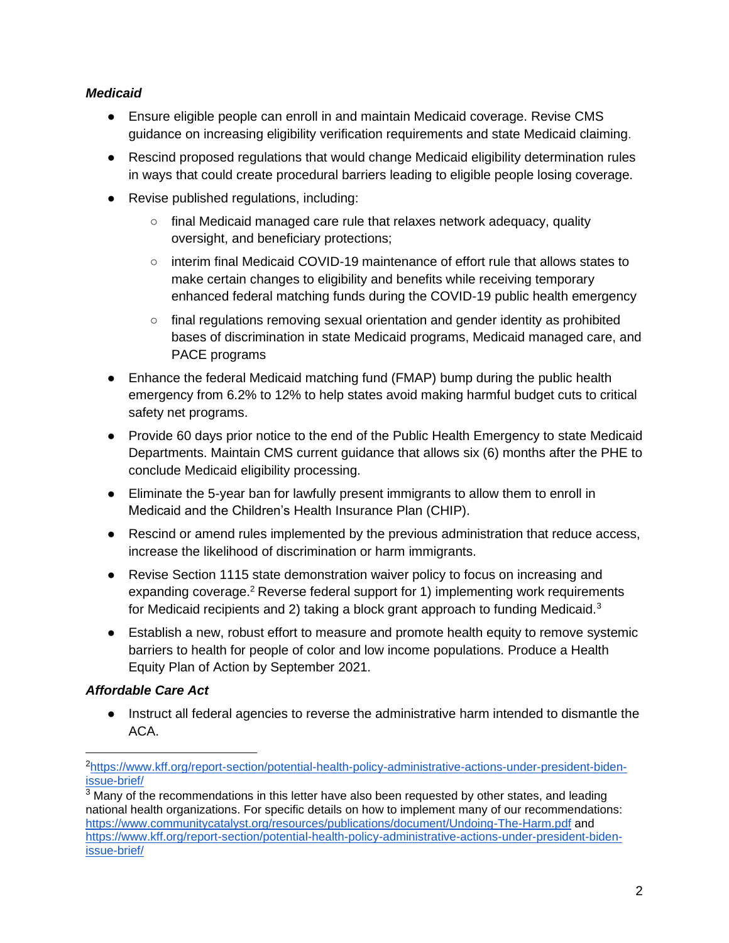## *Medicaid*

- Ensure eligible people can enroll in and maintain Medicaid coverage. Revise CMS guidance on increasing eligibility [verification](https://www.kff.org/medicaid/issue-brief/recent-medicaid-chip-enrollment-declines-and-barriers-to-maintaining-coverage/) requirements and [state Medicaid claiming.](https://www.kff.org/medicaid/issue-brief/medicaid-program-integrity-and-current-issues/)
- Rescind proposed regulations that would change Medicaid eligibility determination rules in ways that could create procedural barriers leading to eligible people losing coverage.
- Revise published regulations, including:
	- final Medicaid managed care rule that relaxes network adequacy, quality oversight, and beneficiary protections;
	- interim final Medicaid COVID-19 maintenance of effort rule that allows states to make certain changes to eligibility and benefits while receiving temporary enhanced federal matching funds during the COVID-19 public health emergency
	- $\circ$  final regulations removing sexual orientation and gender identity as prohibited bases of discrimination in state Medicaid programs, Medicaid managed care, and PACE programs
- Enhance the federal Medicaid matching fund (FMAP) bump during the public health emergency from 6.2% to 12% to help states avoid making harmful budget cuts to critical safety net programs.
- Provide 60 days prior notice to the end of the Public Health Emergency to state Medicaid Departments. Maintain CMS current guidance that allows six (6) months after the PHE to conclude Medicaid eligibility processing.
- Eliminate the 5-year ban for lawfully present immigrants to allow them to enroll in Medicaid and the Children's Health Insurance Plan (CHIP).
- Rescind or amend rules implemented by the previous administration that reduce access, increase the likelihood of discrimination or harm immigrants.
- Revise Section 1115 state demonstration waiver policy to focus on increasing and expanding coverage.<sup>2</sup> Reverse federal support for 1) implementing work requirements for Medicaid recipients and 2) taking a block grant approach to funding Medicaid.<sup>3</sup>
- Establish a new, robust effort to measure and promote health equity to remove systemic barriers to health for people of color and low income populations. Produce a Health Equity Plan of Action by September 2021.

# *Affordable Care Act*

● Instruct all federal agencies to reverse the administrative harm intended to dismantle the ACA.

<sup>2</sup>[https://www.kff.org/report-section/potential-health-policy-administrative-actions-under-president-biden](https://www.kff.org/report-section/potential-health-policy-administrative-actions-under-president-biden-issue-brief/)[issue-brief/](https://www.kff.org/report-section/potential-health-policy-administrative-actions-under-president-biden-issue-brief/)

 $3$  Many of the recommendations in this letter have also been requested by other states, and leading national health organizations. For specific details on how to implement many of our recommendations: <https://www.communitycatalyst.org/resources/publications/document/Undoing-The-Harm.pdf> and [https://www.kff.org/report-section/potential-health-policy-administrative-actions-under-president-biden](https://www.kff.org/report-section/potential-health-policy-administrative-actions-under-president-biden-issue-brief/)[issue-brief/](https://www.kff.org/report-section/potential-health-policy-administrative-actions-under-president-biden-issue-brief/)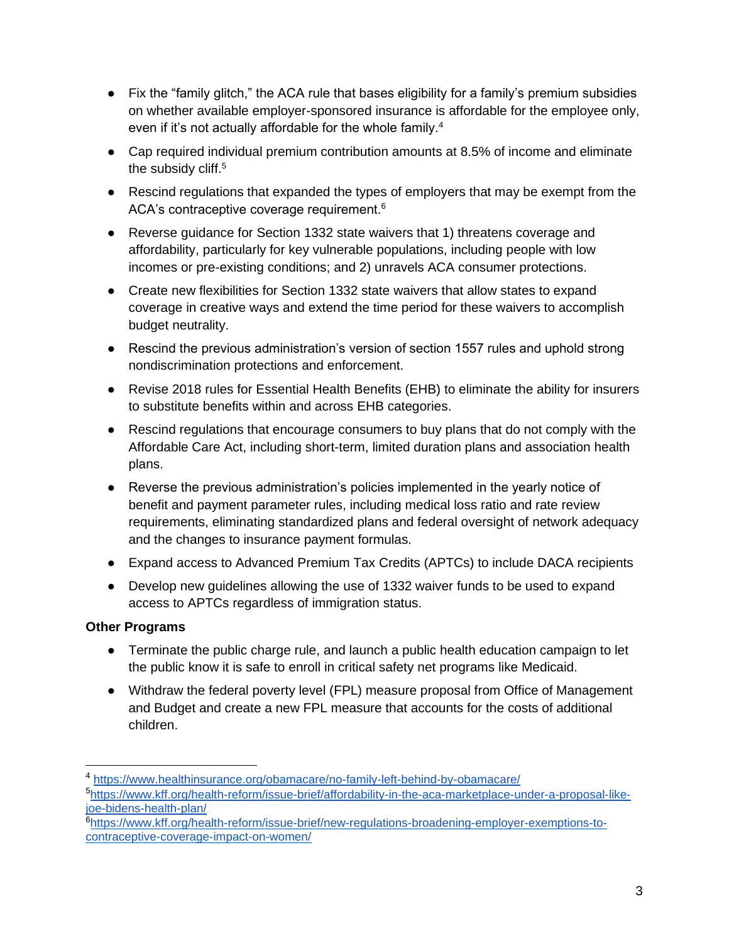- Fix the "family glitch," the ACA rule that bases eligibility for a family's premium subsidies on whether available employer-sponsored insurance is affordable for the employee only, even if it's not actually affordable for the whole family.<sup>4</sup>
- Cap required individual premium contribution amounts at 8.5% of income and eliminate the subsidy cliff.<sup>5</sup>
- Rescind regulations that expanded the types of employers that may be exempt from the ACA's contraceptive coverage requirement.<sup>6</sup>
- Reverse guidance for Section 1332 state waivers that 1) threatens coverage and affordability, particularly for key vulnerable populations, including people with low incomes or pre-existing conditions; and 2) unravels ACA consumer protections.
- Create new flexibilities for Section 1332 state waivers that allow states to expand coverage in creative ways and extend the time period for these waivers to accomplish budget neutrality.
- Rescind the previous administration's version of section 1557 rules and uphold strong nondiscrimination protections and enforcement.
- Revise 2018 rules for Essential Health Benefits (EHB) to eliminate the ability for insurers to substitute benefits within and across EHB categories.
- Rescind regulations that encourage consumers to buy plans that do not comply with the Affordable Care Act, including short-term, limited duration plans and association health plans.
- Reverse the previous administration's policies implemented in the yearly notice of benefit and payment parameter rules, including medical loss ratio and rate review requirements, eliminating standardized plans and federal oversight of network adequacy and the changes to insurance payment formulas.
- Expand access to Advanced Premium Tax Credits (APTCs) to include DACA recipients
- Develop new guidelines allowing the use of 1332 waiver funds to be used to expand access to APTCs regardless of immigration status.

# **Other Programs**

- Terminate the public charge rule, and launch a public health education campaign to let the public know it is safe to enroll in critical safety net programs like Medicaid.
- Withdraw the federal poverty level (FPL) measure proposal from Office of Management and Budget and create a new FPL measure that accounts for the costs of additional children.

<sup>4</sup> <https://www.healthinsurance.org/obamacare/no-family-left-behind-by-obamacare/> <sup>5</sup>[https://www.kff.org/health-reform/issue-brief/affordability-in-the-aca-marketplace-under-a-proposal-like-](https://www.kff.org/health-reform/issue-brief/affordability-in-the-aca-marketplace-under-a-proposal-like-joe-bidens-health-plan/)

[joe-bidens-health-plan/](https://www.kff.org/health-reform/issue-brief/affordability-in-the-aca-marketplace-under-a-proposal-like-joe-bidens-health-plan/) <sup>6</sup>[https://www.kff.org/health-reform/issue-brief/new-regulations-broadening-employer-exemptions-to](https://www.kff.org/health-reform/issue-brief/new-regulations-broadening-employer-exemptions-to-contraceptive-coverage-impact-on-women/)[contraceptive-coverage-impact-on-women/](https://www.kff.org/health-reform/issue-brief/new-regulations-broadening-employer-exemptions-to-contraceptive-coverage-impact-on-women/)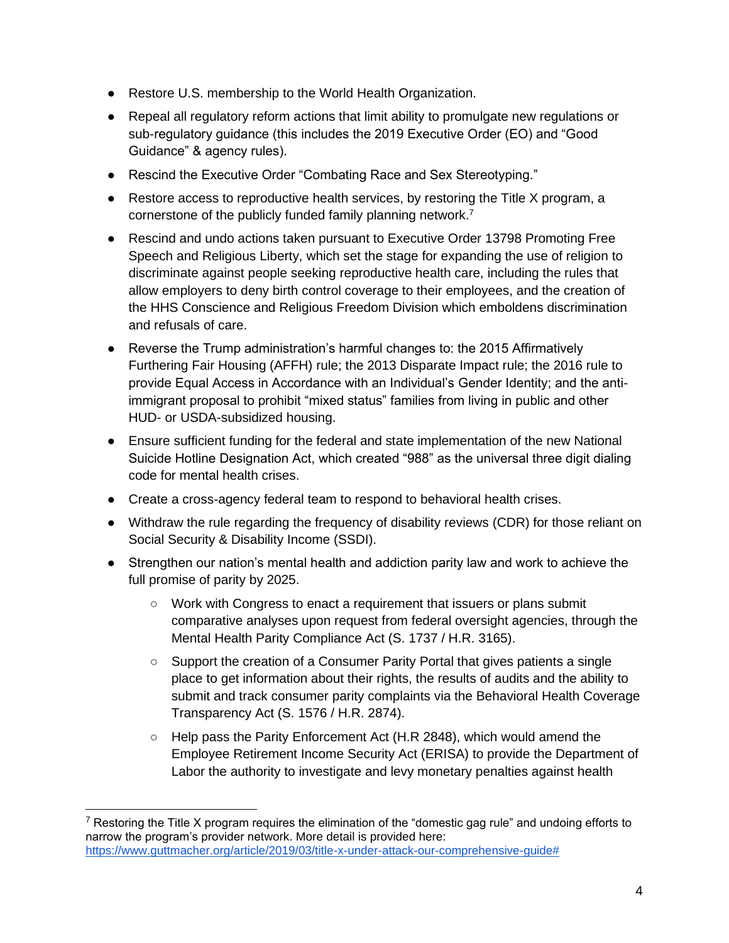- Restore U.S. membership to the World Health Organization.
- Repeal all regulatory reform actions that limit ability to promulgate new regulations or sub-regulatory guidance (this includes the 2019 Executive Order (EO) and "Good Guidance" & agency rules).
- Rescind the Executive Order "Combating Race and Sex Stereotyping."
- $\bullet$  Restore access to reproductive health services, by restoring the Title X program, a cornerstone of the publicly funded family planning network.<sup>7</sup>
- Rescind and undo actions taken pursuant to Executive Order 13798 Promoting Free Speech and Religious Liberty, which set the stage for expanding the use of religion to discriminate against people seeking reproductive health care, including the rules that allow employers to deny birth control coverage to their employees, and the creation of the HHS Conscience and Religious Freedom Division which emboldens discrimination and refusals of care.
- Reverse the Trump administration's harmful changes to: the 2015 Affirmatively Furthering Fair Housing (AFFH) rule; the 2013 Disparate Impact rule; the 2016 rule to provide Equal Access in Accordance with an Individual's Gender Identity; and the antiimmigrant proposal to prohibit "mixed status" families from living in public and other HUD- or USDA-subsidized housing.
- Ensure sufficient funding for the federal and state implementation of the new National Suicide Hotline Designation Act, which created "988" as the universal three digit dialing code for mental health crises.
- Create a cross-agency federal team to respond to behavioral health crises.
- Withdraw the rule regarding the frequency of disability reviews (CDR) for those reliant on Social Security & Disability Income (SSDI).
- Strengthen our nation's mental health and addiction parity law and work to achieve the full promise of parity by 2025.
	- Work with Congress to enact a requirement that issuers or plans submit comparative analyses upon request from federal oversight agencies, through the Mental Health Parity Compliance Act (S. 1737 / H.R. 3165).
	- Support the creation of a Consumer Parity Portal that gives patients a single place to get information about their rights, the results of audits and the ability to submit and track consumer parity complaints via the Behavioral Health Coverage Transparency Act (S. 1576 / H.R. 2874).
	- $\circ$  Help pass the Parity Enforcement Act (H.R 2848), which would amend the Employee Retirement Income Security Act (ERISA) to provide the Department of Labor the authority to investigate and levy monetary penalties against health

 $7$  Restoring the Title X program requires the elimination of the "domestic gag rule" and undoing efforts to narrow the program's provider network. More detail is provided here: [https://www.guttmacher.org/article/2019/03/title-x-under-attack-our-comprehensive-guide#](https://www.guttmacher.org/article/2019/03/title-x-under-attack-our-comprehensive-guide)